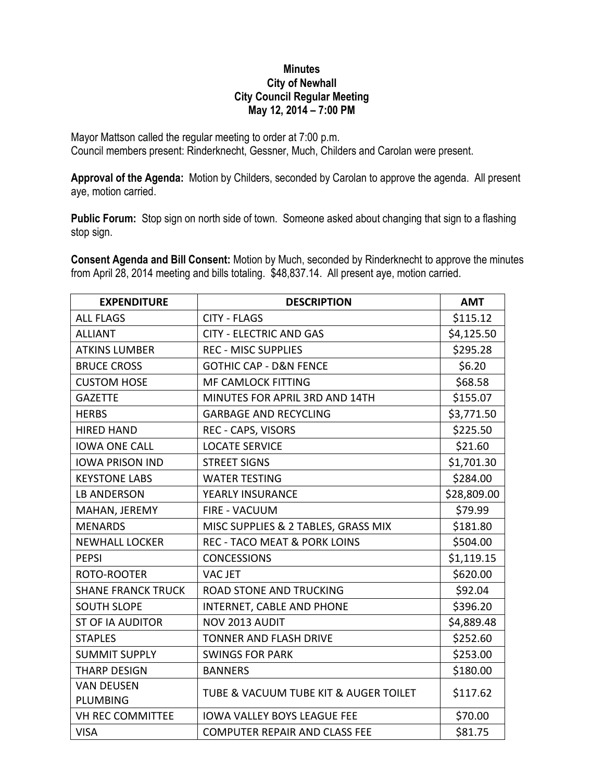## **Minutes City of Newhall City Council Regular Meeting May 12, 2014 – 7:00 PM**

Mayor Mattson called the regular meeting to order at 7:00 p.m. Council members present: Rinderknecht, Gessner, Much, Childers and Carolan were present.

**Approval of the Agenda:** Motion by Childers, seconded by Carolan to approve the agenda. All present aye, motion carried.

**Public Forum:** Stop sign on north side of town. Someone asked about changing that sign to a flashing stop sign.

**Consent Agenda and Bill Consent:** Motion by Much, seconded by Rinderknecht to approve the minutes from April 28, 2014 meeting and bills totaling. \$48,837.14. All present aye, motion carried.

| <b>EXPENDITURE</b>                   | <b>DESCRIPTION</b>                      | <b>AMT</b>  |
|--------------------------------------|-----------------------------------------|-------------|
| <b>ALL FLAGS</b>                     | <b>CITY - FLAGS</b>                     | \$115.12    |
| <b>ALLIANT</b>                       | <b>CITY - ELECTRIC AND GAS</b>          | \$4,125.50  |
| <b>ATKINS LUMBER</b>                 | <b>REC - MISC SUPPLIES</b>              | \$295.28    |
| <b>BRUCE CROSS</b>                   | <b>GOTHIC CAP - D&amp;N FENCE</b>       | \$6.20      |
| <b>CUSTOM HOSE</b>                   | <b>MF CAMLOCK FITTING</b>               | \$68.58     |
| <b>GAZETTE</b>                       | MINUTES FOR APRIL 3RD AND 14TH          | \$155.07    |
| <b>HERBS</b>                         | <b>GARBAGE AND RECYCLING</b>            | \$3,771.50  |
| <b>HIRED HAND</b>                    | REC - CAPS, VISORS                      | \$225.50    |
| <b>IOWA ONE CALL</b>                 | <b>LOCATE SERVICE</b>                   | \$21.60     |
| <b>IOWA PRISON IND</b>               | <b>STREET SIGNS</b>                     | \$1,701.30  |
| <b>KEYSTONE LABS</b>                 | <b>WATER TESTING</b>                    | \$284.00    |
| <b>LB ANDERSON</b>                   | YEARLY INSURANCE                        | \$28,809.00 |
| MAHAN, JEREMY                        | <b>FIRE - VACUUM</b>                    | \$79.99     |
| <b>MENARDS</b>                       | MISC SUPPLIES & 2 TABLES, GRASS MIX     | \$181.80    |
| <b>NEWHALL LOCKER</b>                | <b>REC - TACO MEAT &amp; PORK LOINS</b> | \$504.00    |
| <b>PEPSI</b>                         | <b>CONCESSIONS</b>                      | \$1,119.15  |
| ROTO-ROOTER                          | <b>VACJET</b>                           | \$620.00    |
| <b>SHANE FRANCK TRUCK</b>            | <b>ROAD STONE AND TRUCKING</b>          | \$92.04     |
| <b>SOUTH SLOPE</b>                   | INTERNET, CABLE AND PHONE               | \$396.20    |
| <b>ST OF IA AUDITOR</b>              | NOV 2013 AUDIT                          | \$4,889.48  |
| <b>STAPLES</b>                       | <b>TONNER AND FLASH DRIVE</b>           | \$252.60    |
| <b>SUMMIT SUPPLY</b>                 | <b>SWINGS FOR PARK</b>                  | \$253.00    |
| <b>THARP DESIGN</b>                  | <b>BANNERS</b>                          | \$180.00    |
| <b>VAN DEUSEN</b><br><b>PLUMBING</b> | TUBE & VACUUM TUBE KIT & AUGER TOILET   | \$117.62    |
| <b>VH REC COMMITTEE</b>              | <b>IOWA VALLEY BOYS LEAGUE FEE</b>      | \$70.00     |
| <b>VISA</b>                          | <b>COMPUTER REPAIR AND CLASS FEE</b>    | \$81.75     |